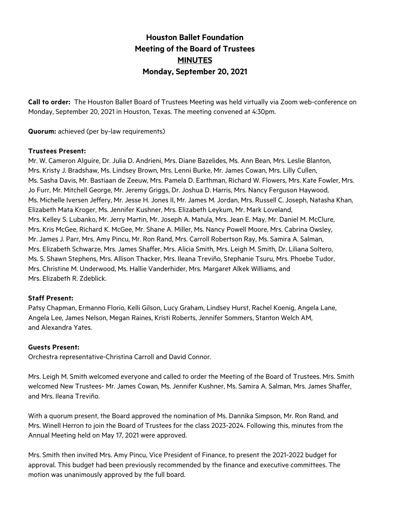# **Houston Ballet Foundation Meeting of the Board of Trustees MINUTES Monday, September 20, 2021**

**Call to order:** The Houston Ballet Board of Trustees Meeting was held virtually via Zoom web-conference on Monday, September 20, 2021 in Houston, Texas. The meeting convened at 4:30pm.

**Quorum:** achieved (per by-law requirements)

#### **Trustees Present:**

Mr. W. Cameron Alguire, Dr. Julia D. Andrieni, Mrs. Diane Bazelides, Ms. Ann Bean, Mrs. Leslie Blanton, Mrs. Kristy J. Bradshaw, Ms. Lindsey Brown, Mrs. Lenni Burke, Mr. James Cowan, Mrs. Lilly Cullen, Ms. Sasha Davis, Mr. Bastiaan de Zeeuw, Mrs. Pamela D. Earthman, Richard W. Flowers, Mrs. Kate Fowler, Mrs. Jo Furr, Mr. Mitchell George, Mr. Jeremy Griggs, Dr. Joshua D. Harris, Mrs. Nancy Ferguson Haywood, Ms. Michelle Iversen Jeffery, Mr. Jesse H. Jones II, Mr. James M. Jordan, Mrs. Russell C. Joseph, Natasha Khan, Elizabeth Mata Kroger, Ms. Jennifer Kushner, Mrs. Elizabeth Leykum, Mr. Mark Loveland, Mrs. Kelley S. Lubanko, Mr. Jerry Martin, Mr. Joseph A. Matula, Mrs. Jean E. May, Mr. Daniel M. McClure, Mrs. Kris McGee, Richard K. McGee, Mr. Shane A. Miller, Ms. Nancy Powell Moore, Mrs. Cabrina Owsley, Mr. James J. Parr, Mrs. Amy Pincu, Mr. Ron Rand, Mrs. Carroll Robertson Ray, Ms. Samira A. Salman, Mrs. Elizabeth Schwarze, Mrs. James Shaffer, Mrs. Alicia Smith, Mrs. Leigh M. Smith, Dr. Liliana Soltero, Ms. S. Shawn Stephens, Mrs. Allison Thacker, Mrs. Ileana Treviño, Stephanie Tsuru, Mrs. Phoebe Tudor, Mrs. Christine M. Underwood, Ms. Hallie Vanderhider, Mrs. Margaret Alkek Williams, and Mrs. Elizabeth R. Zdeblick.

### **Staff Present:**

Patsy Chapman, Ermanno Florio, Kelli Gilson, Lucy Graham, Lindsey Hurst, Rachel Koenig, Angela Lane, Angela Lee, James Nelson, Megan Raines, Kristi Roberts, Jennifer Sommers, Stanton Welch AM, and Alexandra Yates.

#### **Guests Present:**

Orchestra representative-Christina Carroll and David Connor.

Mrs. Leigh M. Smith welcomed everyone and called to order the Meeting of the Board of Trustees. Mrs. Smith welcomed New Trustees- Mr. James Cowan, Ms. Jennifer Kushner, Ms. Samira A. Salman, Mrs. James Shaffer, and Mrs. Ileana Treviño.

With a quorum present, the Board approved the nomination of Ms. Dannika Simpson, Mr. Ron Rand, and Mrs. Winell Herron to join the Board of Trustees for the class 2023-2024. Following this, minutes from the Annual Meeting held on May 17, 2021 were approved.

Mrs. Smith then invited Mrs. Amy Pincu, Vice President of Finance, to present the 2021-2022 budget for approval. This budget had been previously recommended by the finance and executive committees. The motion was unanimously approved by the full board.